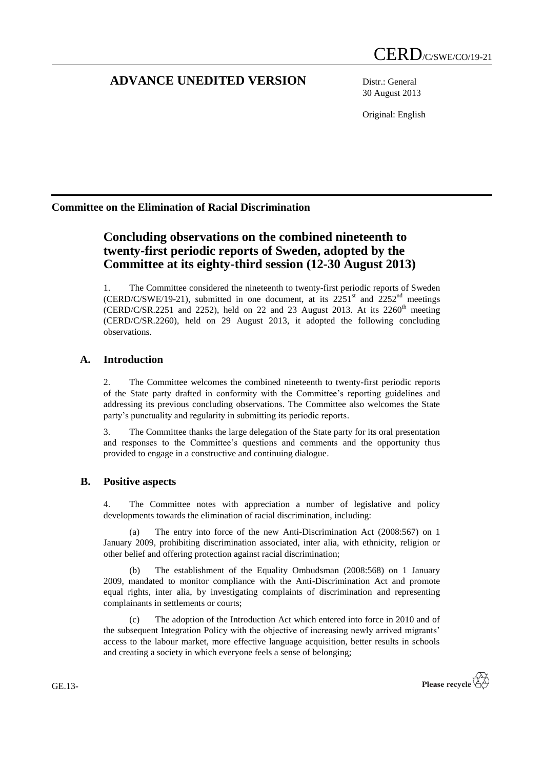# **ADVANCE UNEDITED VERSION** Distr.: General

30 August 2013

Original: English

# **Committee on the Elimination of Racial Discrimination**

# **Concluding observations on the combined nineteenth to twenty-first periodic reports of Sweden, adopted by the Committee at its eighty-third session (12-30 August 2013)**

1. The Committee considered the nineteenth to twenty-first periodic reports of Sweden (CERD/C/SWE/19-21), submitted in one document, at its  $2251<sup>st</sup>$  and  $2252<sup>nd</sup>$  meetings (CERD/C/SR.2251 and 2252), held on 22 and 23 August 2013. At its  $2260<sup>th</sup>$  meeting (CERD/C/SR.2260), held on 29 August 2013, it adopted the following concluding observations.

# **A. Introduction**

2. The Committee welcomes the combined nineteenth to twenty-first periodic reports of the State party drafted in conformity with the Committee's reporting guidelines and addressing its previous concluding observations. The Committee also welcomes the State party's punctuality and regularity in submitting its periodic reports.

3. The Committee thanks the large delegation of the State party for its oral presentation and responses to the Committee's questions and comments and the opportunity thus provided to engage in a constructive and continuing dialogue.

## **B. Positive aspects**

4. The Committee notes with appreciation a number of legislative and policy developments towards the elimination of racial discrimination, including:

The entry into force of the new Anti-Discrimination Act (2008:567) on 1 January 2009, prohibiting discrimination associated, inter alia, with ethnicity, religion or other belief and offering protection against racial discrimination;

The establishment of the Equality Ombudsman (2008:568) on 1 January 2009, mandated to monitor compliance with the Anti-Discrimination Act and promote equal rights, inter alia, by investigating complaints of discrimination and representing complainants in settlements or courts;

(c) The adoption of the Introduction Act which entered into force in 2010 and of the subsequent Integration Policy with the objective of increasing newly arrived migrants' access to the labour market, more effective language acquisition, better results in schools and creating a society in which everyone feels a sense of belonging;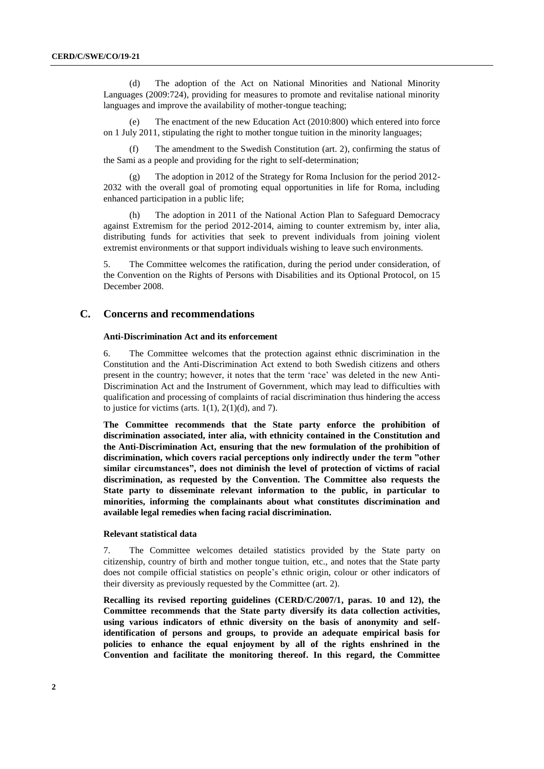(d) The adoption of the Act on National Minorities and National Minority Languages (2009:724), providing for measures to promote and revitalise national minority languages and improve the availability of mother-tongue teaching;

The enactment of the new Education Act  $(2010:800)$  which entered into force on 1 July 2011, stipulating the right to mother tongue tuition in the minority languages;

(f) The amendment to the Swedish Constitution (art. 2), confirming the status of the Sami as a people and providing for the right to self-determination;

The adoption in 2012 of the Strategy for Roma Inclusion for the period 2012-2032 with the overall goal of promoting equal opportunities in life for Roma, including enhanced participation in a public life;

(h) The adoption in 2011 of the National Action Plan to Safeguard Democracy against Extremism for the period 2012-2014, aiming to counter extremism by, inter alia, distributing funds for activities that seek to prevent individuals from joining violent extremist environments or that support individuals wishing to leave such environments.

5. The Committee welcomes the ratification, during the period under consideration, of the Convention on the Rights of Persons with Disabilities and its Optional Protocol, on 15 December 2008.

## **C. Concerns and recommendations**

## **Anti-Discrimination Act and its enforcement**

6. The Committee welcomes that the protection against ethnic discrimination in the Constitution and the Anti-Discrimination Act extend to both Swedish citizens and others present in the country; however, it notes that the term 'race' was deleted in the new Anti-Discrimination Act and the Instrument of Government, which may lead to difficulties with qualification and processing of complaints of racial discrimination thus hindering the access to justice for victims (arts.  $1(1)$ ,  $2(1)(d)$ , and 7).

**The Committee recommends that the State party enforce the prohibition of discrimination associated, inter alia, with ethnicity contained in the Constitution and the Anti-Discrimination Act, ensuring that the new formulation of the prohibition of discrimination, which covers racial perceptions only indirectly under the term "other similar circumstances", does not diminish the level of protection of victims of racial discrimination, as requested by the Convention. The Committee also requests the State party to disseminate relevant information to the public, in particular to minorities, informing the complainants about what constitutes discrimination and available legal remedies when facing racial discrimination.**

## **Relevant statistical data**

7. The Committee welcomes detailed statistics provided by the State party on citizenship, country of birth and mother tongue tuition, etc., and notes that the State party does not compile official statistics on people's ethnic origin, colour or other indicators of their diversity as previously requested by the Committee (art. 2).

**Recalling its revised reporting guidelines (CERD/C/2007/1, paras. 10 and 12), the Committee recommends that the State party diversify its data collection activities, using various indicators of ethnic diversity on the basis of anonymity and selfidentification of persons and groups, to provide an adequate empirical basis for policies to enhance the equal enjoyment by all of the rights enshrined in the Convention and facilitate the monitoring thereof. In this regard, the Committee**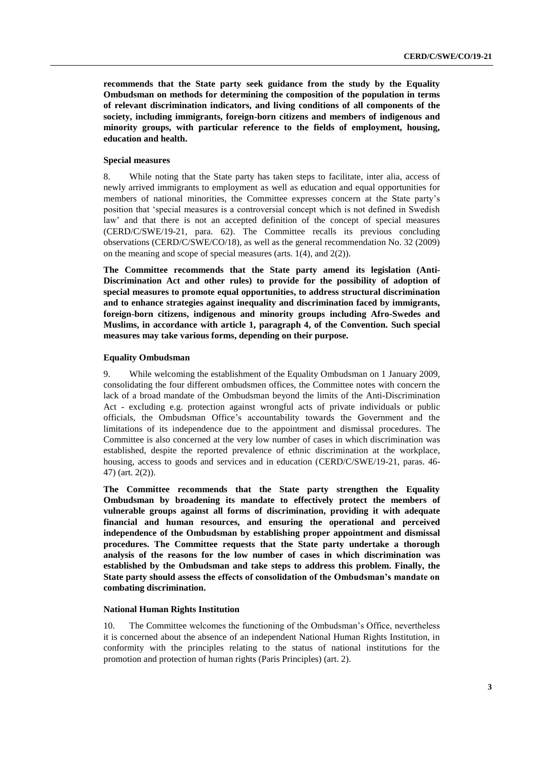**recommends that the State party seek guidance from the study by the Equality Ombudsman on methods for determining the composition of the population in terms of relevant discrimination indicators, and living conditions of all components of the society, including immigrants, foreign-born citizens and members of indigenous and minority groups, with particular reference to the fields of employment, housing, education and health.**

#### **Special measures**

8. While noting that the State party has taken steps to facilitate, inter alia, access of newly arrived immigrants to employment as well as education and equal opportunities for members of national minorities, the Committee expresses concern at the State party's position that 'special measures is a controversial concept which is not defined in Swedish law' and that there is not an accepted definition of the concept of special measures (CERD/C/SWE/19-21, para. 62). The Committee recalls its previous concluding observations (CERD/C/SWE/CO/18), as well as the general recommendation No. 32 (2009) on the meaning and scope of special measures (arts. 1(4), and 2(2)).

**The Committee recommends that the State party amend its legislation (Anti-Discrimination Act and other rules) to provide for the possibility of adoption of special measures to promote equal opportunities, to address structural discrimination and to enhance strategies against inequality and discrimination faced by immigrants, foreign-born citizens, indigenous and minority groups including Afro-Swedes and Muslims, in accordance with article 1, paragraph 4, of the Convention. Such special measures may take various forms, depending on their purpose.**

## **Equality Ombudsman**

9. While welcoming the establishment of the Equality Ombudsman on 1 January 2009, consolidating the four different ombudsmen offices, the Committee notes with concern the lack of a broad mandate of the Ombudsman beyond the limits of the Anti-Discrimination Act - excluding e.g. protection against wrongful acts of private individuals or public officials, the Ombudsman Office's accountability towards the Government and the limitations of its independence due to the appointment and dismissal procedures. The Committee is also concerned at the very low number of cases in which discrimination was established, despite the reported prevalence of ethnic discrimination at the workplace, housing, access to goods and services and in education (CERD/C/SWE/19-21, paras. 46- 47) (art. 2(2)).

**The Committee recommends that the State party strengthen the Equality Ombudsman by broadening its mandate to effectively protect the members of vulnerable groups against all forms of discrimination, providing it with adequate financial and human resources, and ensuring the operational and perceived independence of the Ombudsman by establishing proper appointment and dismissal procedures. The Committee requests that the State party undertake a thorough analysis of the reasons for the low number of cases in which discrimination was established by the Ombudsman and take steps to address this problem. Finally, the State party should assess the effects of consolidation of the Ombudsman's mandate on combating discrimination.**

#### **National Human Rights Institution**

10. The Committee welcomes the functioning of the Ombudsman's Office, nevertheless it is concerned about the absence of an independent National Human Rights Institution, in conformity with the principles relating to the status of national institutions for the promotion and protection of human rights (Paris Principles) (art. 2).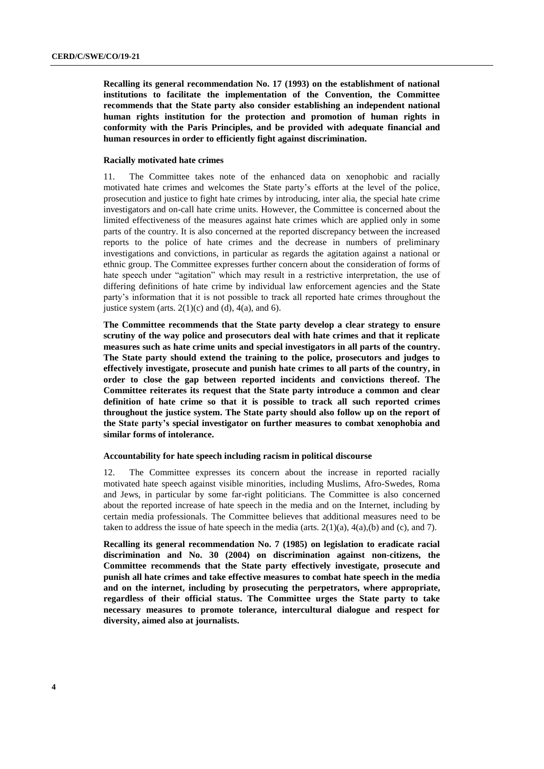**Recalling its general recommendation No. 17 (1993) on the establishment of national institutions to facilitate the implementation of the Convention, the Committee recommends that the State party also consider establishing an independent national human rights institution for the protection and promotion of human rights in conformity with the Paris Principles, and be provided with adequate financial and human resources in order to efficiently fight against discrimination.**

## **Racially motivated hate crimes**

11. The Committee takes note of the enhanced data on xenophobic and racially motivated hate crimes and welcomes the State party's efforts at the level of the police, prosecution and justice to fight hate crimes by introducing, inter alia, the special hate crime investigators and on-call hate crime units. However, the Committee is concerned about the limited effectiveness of the measures against hate crimes which are applied only in some parts of the country. It is also concerned at the reported discrepancy between the increased reports to the police of hate crimes and the decrease in numbers of preliminary investigations and convictions, in particular as regards the agitation against a national or ethnic group. The Committee expresses further concern about the consideration of forms of hate speech under "agitation" which may result in a restrictive interpretation, the use of differing definitions of hate crime by individual law enforcement agencies and the State party's information that it is not possible to track all reported hate crimes throughout the justice system (arts.  $2(1)(c)$  and (d),  $4(a)$ , and 6).

**The Committee recommends that the State party develop a clear strategy to ensure scrutiny of the way police and prosecutors deal with hate crimes and that it replicate measures such as hate crime units and special investigators in all parts of the country. The State party should extend the training to the police, prosecutors and judges to effectively investigate, prosecute and punish hate crimes to all parts of the country, in order to close the gap between reported incidents and convictions thereof. The Committee reiterates its request that the State party introduce a common and clear definition of hate crime so that it is possible to track all such reported crimes throughout the justice system. The State party should also follow up on the report of the State party's special investigator on further measures to combat xenophobia and similar forms of intolerance.**

### **Accountability for hate speech including racism in political discourse**

12. The Committee expresses its concern about the increase in reported racially motivated hate speech against visible minorities, including Muslims, Afro-Swedes, Roma and Jews, in particular by some far-right politicians. The Committee is also concerned about the reported increase of hate speech in the media and on the Internet, including by certain media professionals. The Committee believes that additional measures need to be taken to address the issue of hate speech in the media (arts.  $2(1)(a)$ ,  $4(a)$ ,  $(b)$  and  $(c)$ , and  $7$ ).

**Recalling its general recommendation No. 7 (1985) on legislation to eradicate racial discrimination and No. 30 (2004) on discrimination against non-citizens, the Committee recommends that the State party effectively investigate, prosecute and punish all hate crimes and take effective measures to combat hate speech in the media and on the internet, including by prosecuting the perpetrators, where appropriate, regardless of their official status. The Committee urges the State party to take necessary measures to promote tolerance, intercultural dialogue and respect for diversity, aimed also at journalists.**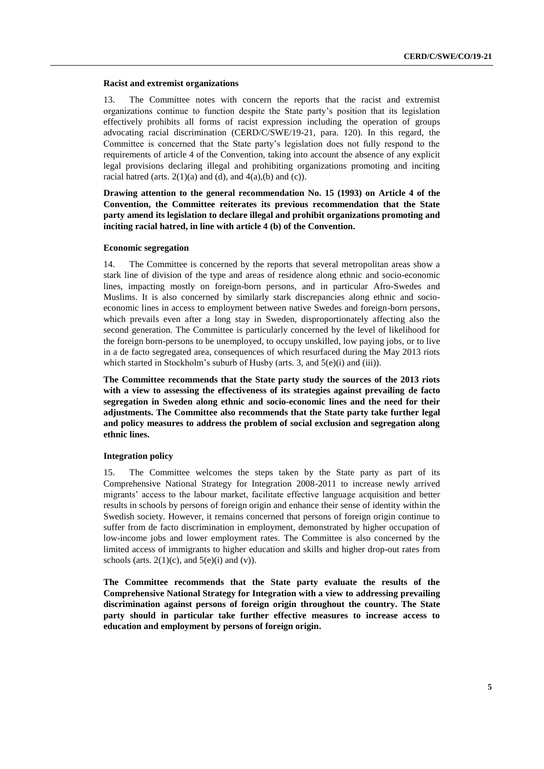#### **Racist and extremist organizations**

13. The Committee notes with concern the reports that the racist and extremist organizations continue to function despite the State party's position that its legislation effectively prohibits all forms of racist expression including the operation of groups advocating racial discrimination (CERD/C/SWE/19-21, para. 120). In this regard, the Committee is concerned that the State party's legislation does not fully respond to the requirements of article 4 of the Convention, taking into account the absence of any explicit legal provisions declaring illegal and prohibiting organizations promoting and inciting racial hatred (arts.  $2(1)(a)$  and (d), and  $4(a)(b)$  and (c)).

**Drawing attention to the general recommendation No. 15 (1993) on Article 4 of the Convention, the Committee reiterates its previous recommendation that the State party amend its legislation to declare illegal and prohibit organizations promoting and inciting racial hatred, in line with article 4 (b) of the Convention.**

#### **Economic segregation**

14. The Committee is concerned by the reports that several metropolitan areas show a stark line of division of the type and areas of residence along ethnic and socio-economic lines, impacting mostly on foreign-born persons, and in particular Afro-Swedes and Muslims. It is also concerned by similarly stark discrepancies along ethnic and socioeconomic lines in access to employment between native Swedes and foreign-born persons, which prevails even after a long stay in Sweden, disproportionately affecting also the second generation. The Committee is particularly concerned by the level of likelihood for the foreign born-persons to be unemployed, to occupy unskilled, low paying jobs, or to live in a de facto segregated area, consequences of which resurfaced during the May 2013 riots which started in Stockholm's suburb of Husby (arts. 3, and 5(e)(i) and (iii)).

**The Committee recommends that the State party study the sources of the 2013 riots with a view to assessing the effectiveness of its strategies against prevailing de facto segregation in Sweden along ethnic and socio-economic lines and the need for their adjustments. The Committee also recommends that the State party take further legal and policy measures to address the problem of social exclusion and segregation along ethnic lines.**

## **Integration policy**

15. The Committee welcomes the steps taken by the State party as part of its Comprehensive National Strategy for Integration 2008-2011 to increase newly arrived migrants' access to the labour market, facilitate effective language acquisition and better results in schools by persons of foreign origin and enhance their sense of identity within the Swedish society. However, it remains concerned that persons of foreign origin continue to suffer from de facto discrimination in employment, demonstrated by higher occupation of low-income jobs and lower employment rates. The Committee is also concerned by the limited access of immigrants to higher education and skills and higher drop-out rates from schools (arts.  $2(1)(c)$ , and  $5(e)(i)$  and (v)).

**The Committee recommends that the State party evaluate the results of the Comprehensive National Strategy for Integration with a view to addressing prevailing discrimination against persons of foreign origin throughout the country. The State party should in particular take further effective measures to increase access to education and employment by persons of foreign origin.**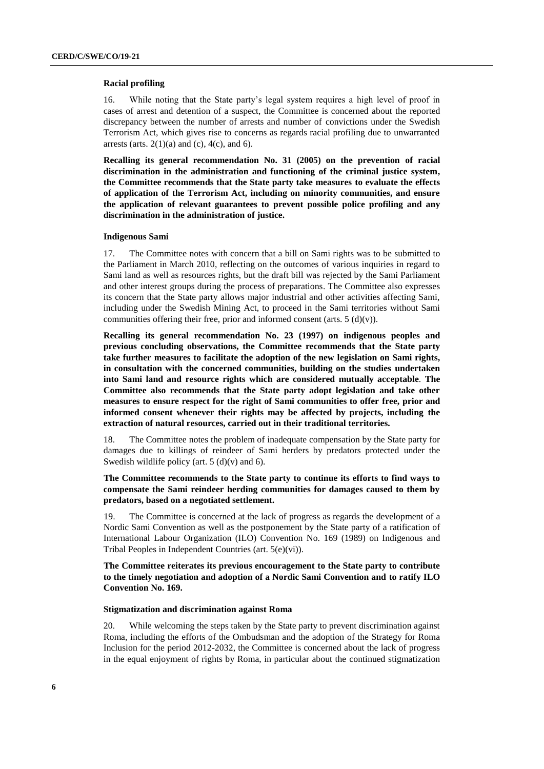## **Racial profiling**

16. While noting that the State party's legal system requires a high level of proof in cases of arrest and detention of a suspect, the Committee is concerned about the reported discrepancy between the number of arrests and number of convictions under the Swedish Terrorism Act, which gives rise to concerns as regards racial profiling due to unwarranted arrests (arts.  $2(1)(a)$  and (c),  $4(c)$ , and 6).

**Recalling its general recommendation No. 31 (2005) on the prevention of racial discrimination in the administration and functioning of the criminal justice system, the Committee recommends that the State party take measures to evaluate the effects of application of the Terrorism Act, including on minority communities, and ensure the application of relevant guarantees to prevent possible police profiling and any discrimination in the administration of justice.**

## **Indigenous Sami**

17. The Committee notes with concern that a bill on Sami rights was to be submitted to the Parliament in March 2010, reflecting on the outcomes of various inquiries in regard to Sami land as well as resources rights, but the draft bill was rejected by the Sami Parliament and other interest groups during the process of preparations. The Committee also expresses its concern that the State party allows major industrial and other activities affecting Sami, including under the Swedish Mining Act, to proceed in the Sami territories without Sami communities offering their free, prior and informed consent (arts.  $5 \text{ (d)(v)}$ ).

**Recalling its general recommendation No. 23 (1997) on indigenous peoples and previous concluding observations, the Committee recommends that the State party take further measures to facilitate the adoption of the new legislation on Sami rights, in consultation with the concerned communities, building on the studies undertaken into Sami land and resource rights which are considered mutually acceptable**. **The Committee also recommends that the State party adopt legislation and take other measures to ensure respect for the right of Sami communities to offer free, prior and informed consent whenever their rights may be affected by projects, including the extraction of natural resources, carried out in their traditional territories.**

18. The Committee notes the problem of inadequate compensation by the State party for damages due to killings of reindeer of Sami herders by predators protected under the Swedish wildlife policy (art.  $5(d)(v)$  and 6).

## **The Committee recommends to the State party to continue its efforts to find ways to compensate the Sami reindeer herding communities for damages caused to them by predators, based on a negotiated settlement.**

19. The Committee is concerned at the lack of progress as regards the development of a Nordic Sami Convention as well as the postponement by the State party of a ratification of International Labour Organization (ILO) Convention No. 169 (1989) on Indigenous and Tribal Peoples in Independent Countries (art. 5(e)(vi)).

**The Committee reiterates its previous encouragement to the State party to contribute to the timely negotiation and adoption of a Nordic Sami Convention and to ratify ILO Convention No. 169.** 

#### **Stigmatization and discrimination against Roma**

20. While welcoming the steps taken by the State party to prevent discrimination against Roma, including the efforts of the Ombudsman and the adoption of the Strategy for Roma Inclusion for the period 2012-2032, the Committee is concerned about the lack of progress in the equal enjoyment of rights by Roma, in particular about the continued stigmatization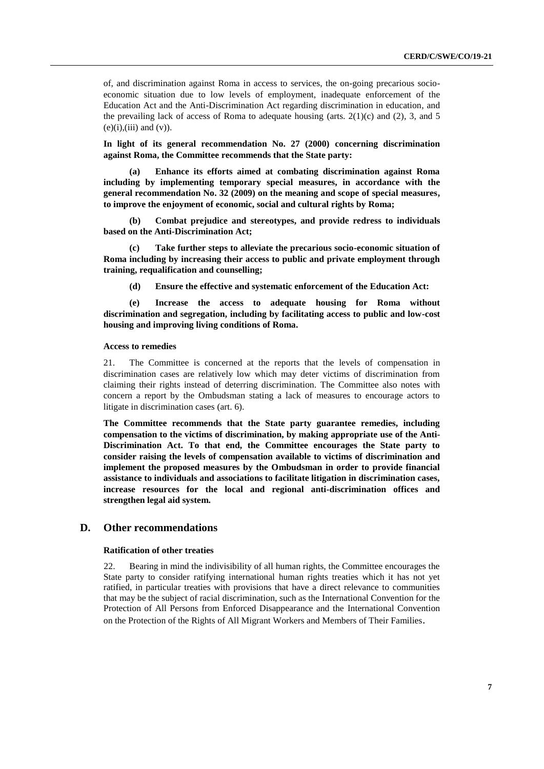of, and discrimination against Roma in access to services, the on-going precarious socioeconomic situation due to low levels of employment, inadequate enforcement of the Education Act and the Anti-Discrimination Act regarding discrimination in education, and the prevailing lack of access of Roma to adequate housing (arts.  $2(1)(c)$  and  $(2)$ , 3, and 5  $(e)(i), (iii)$  and  $(v)$ ).

**In light of its general recommendation No. 27 (2000) concerning discrimination against Roma, the Committee recommends that the State party:**

**(a) Enhance its efforts aimed at combating discrimination against Roma including by implementing temporary special measures, in accordance with the general recommendation No. 32 (2009) on the meaning and scope of special measures, to improve the enjoyment of economic, social and cultural rights by Roma;**

**(b) Combat prejudice and stereotypes, and provide redress to individuals based on the Anti-Discrimination Act;**

**(c) Take further steps to alleviate the precarious socio-economic situation of Roma including by increasing their access to public and private employment through training, requalification and counselling;**

**(d) Ensure the effective and systematic enforcement of the Education Act:**

**(e) Increase the access to adequate housing for Roma without discrimination and segregation, including by facilitating access to public and low-cost housing and improving living conditions of Roma.**

## **Access to remedies**

21. The Committee is concerned at the reports that the levels of compensation in discrimination cases are relatively low which may deter victims of discrimination from claiming their rights instead of deterring discrimination. The Committee also notes with concern a report by the Ombudsman stating a lack of measures to encourage actors to litigate in discrimination cases (art. 6).

**The Committee recommends that the State party guarantee remedies, including compensation to the victims of discrimination, by making appropriate use of the Anti-Discrimination Act. To that end, the Committee encourages the State party to consider raising the levels of compensation available to victims of discrimination and implement the proposed measures by the Ombudsman in order to provide financial assistance to individuals and associations to facilitate litigation in discrimination cases, increase resources for the local and regional anti-discrimination offices and strengthen legal aid system.**

## **D. Other recommendations**

#### **Ratification of other treaties**

22. Bearing in mind the indivisibility of all human rights, the Committee encourages the State party to consider ratifying international human rights treaties which it has not yet ratified, in particular treaties with provisions that have a direct relevance to communities that may be the subject of racial discrimination, such as the International Convention for the Protection of All Persons from Enforced Disappearance and the International Convention on the Protection of the Rights of All Migrant Workers and Members of Their Families.